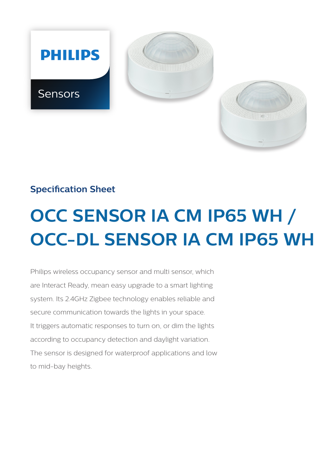

# **Specification Sheet**

# **OCC SENSOR IA CM IP65 WH / OCC-DL SENSOR IA CM IP65 WH**

Philips wireless occupancy sensor and multi sensor, which are Interact Ready, mean easy upgrade to a smart lighting system. Its 2.4GHz Zigbee technology enables reliable and secure communication towards the lights in your space. It triggers automatic responses to turn on, or dim the lights according to occupancy detection and daylight variation. The sensor is designed for waterproof applications and low to mid-bay heights.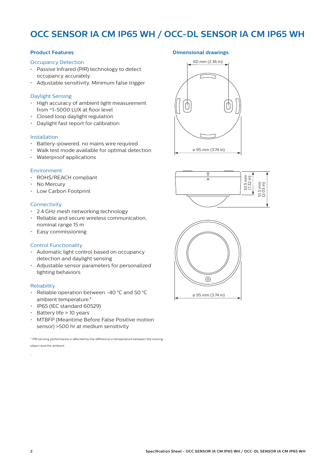# **OCC SENSOR IA CM IP65 WH / OCC-DL SENSOR IA CM IP65 WH**

# **Product Features**

#### Occupancy Detection

- Passive Infrared (PIR) technology to detect occupancy accurately
- Adjustable sensitivity. Minimum false trigger

#### Daylight Sensing

- High accuracy of ambient light measurement from ~1-5000 LUX at floor level
- Closed loop daylight regulation
- Daylight fast report for calibration

#### Installation

- Battery-powered, no mains wire required
- Walk test mode available for optimal detection
- Waterproof applications

#### Environment

- ROHS/REACH compliant
- No Mercury
- Low Carbon Footprint

#### **Connectivity**

- 2.4 GHz mesh networking technology
- Reliable and secure wireless communication, nominal range 15 m
- Easy commissioning

#### Control Functionality

- Automatic light control based on occupancy detection and daylight sensing
- Adjustable sensor parameters for personalized lighting behaviors

#### Reliability

- Reliable operation between -40 °C and 50 °C ambient temperature.\*
- IP65 (IEC standard 60529)
- $\cdot$  Battery life > 10 years
- MTBFP (Meantime Before False Positive motion sensor) >500 hr at medium sensitivity

\* PIR sensing performance is affected by the difference in temperature between the moving object and the ambient.

# **Dimensional drawings**







.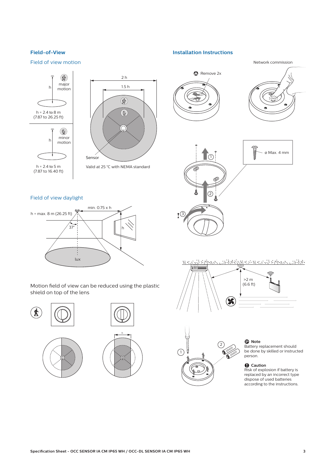# **Field-of-View**

# Field of view motion

#### **Installation Instructions**





#### Field of view daylight



Motion field of view can be reduced using the plastic shield on top of the lens









# D **Note**

Battery replacement should be done by skilled or instructed person.

#### **Q** Caution

Risk of explosion if battery is replaced by an incorrect type dispose of used batteries according to the instructions.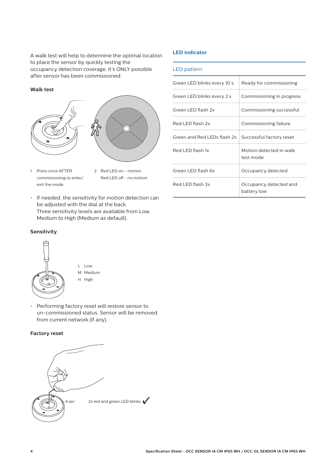A walk test will help to determine the optimal location to place the sensor by quickly testing the occupancy detection coverage. It's ONLY possible after sensor has been commissioned.

## **Walk test**



- 1 Press once AFTER 2 Red LED on motion exit the mode
	- commissioning to enter/ Red LED off no motion
- If needed, the sensitivity for motion detection can be adjusted with the dial at the back. Three sensitivity levels are available from Low, Medium to High (Medium as default).

# **Sensitivity**



L Low M Medium H High

• Performing factory reset will restore sensor to un-commissioned status. Sensor will be removed from current network (if any).

# **Factory reset**



# **LED indicator**

#### LED pattern

| Green LED blinks every 10 s                            | Ready for commissioning               |  |
|--------------------------------------------------------|---------------------------------------|--|
| Green LED blinks every 2 s                             | Commissioning in progress             |  |
| Green LED flash 2x                                     | Commissioning successful              |  |
| Red LED flash 2x                                       | Commissioning failure                 |  |
| Green and Red LEDs flash 2x   Successful factory reset |                                       |  |
| Red LED flash 1x                                       | Motion detected in walk<br>test mode  |  |
| Green LED flash 6x                                     | Occupancy detected                    |  |
| Red LED flash 3x                                       | Occupancy detected and<br>battery low |  |